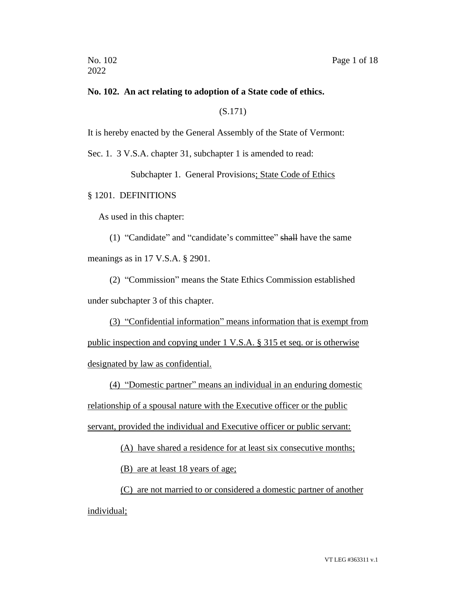#### **No. 102. An act relating to adoption of a State code of ethics.**

(S.171)

It is hereby enacted by the General Assembly of the State of Vermont:

Sec. 1. 3 V.S.A. chapter 31, subchapter 1 is amended to read:

Subchapter 1. General Provisions; State Code of Ethics

§ 1201. DEFINITIONS

As used in this chapter:

(1) "Candidate" and "candidate's committee" shall have the same meanings as in 17 V.S.A. § 2901.

(2) "Commission" means the State Ethics Commission established under subchapter 3 of this chapter.

(3) "Confidential information" means information that is exempt from public inspection and copying under 1 V.S.A. § 315 et seq. or is otherwise designated by law as confidential.

(4) "Domestic partner" means an individual in an enduring domestic relationship of a spousal nature with the Executive officer or the public servant, provided the individual and Executive officer or public servant:

(A) have shared a residence for at least six consecutive months;

(B) are at least 18 years of age;

(C) are not married to or considered a domestic partner of another individual;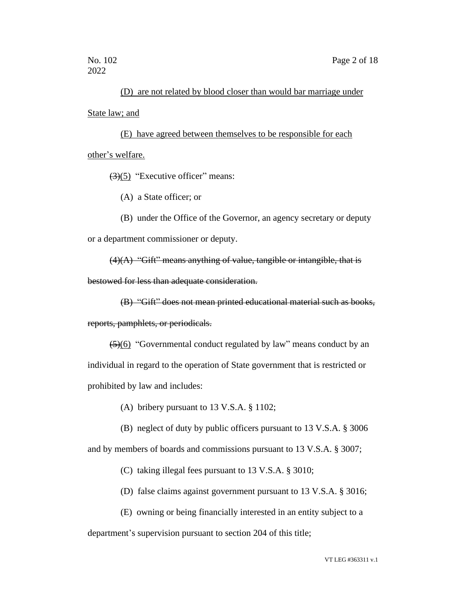## (D) are not related by blood closer than would bar marriage under

State law; and

(E) have agreed between themselves to be responsible for each other's welfare.

 $(3)(5)$  "Executive officer" means:

(A) a State officer; or

(B) under the Office of the Governor, an agency secretary or deputy or a department commissioner or deputy.

 $(4)(A)$  "Gift" means anything of value, tangible or intangible, that is

bestowed for less than adequate consideration.

(B) "Gift" does not mean printed educational material such as books,

reports, pamphlets, or periodicals.

 $\left( \frac{5}{6} \right)$  "Governmental conduct regulated by law" means conduct by an individual in regard to the operation of State government that is restricted or prohibited by law and includes:

(A) bribery pursuant to 13 V.S.A. § 1102;

(B) neglect of duty by public officers pursuant to 13 V.S.A. § 3006

and by members of boards and commissions pursuant to 13 V.S.A. § 3007;

(C) taking illegal fees pursuant to 13 V.S.A. § 3010;

- (D) false claims against government pursuant to 13 V.S.A. § 3016;
- (E) owning or being financially interested in an entity subject to a

department's supervision pursuant to section 204 of this title;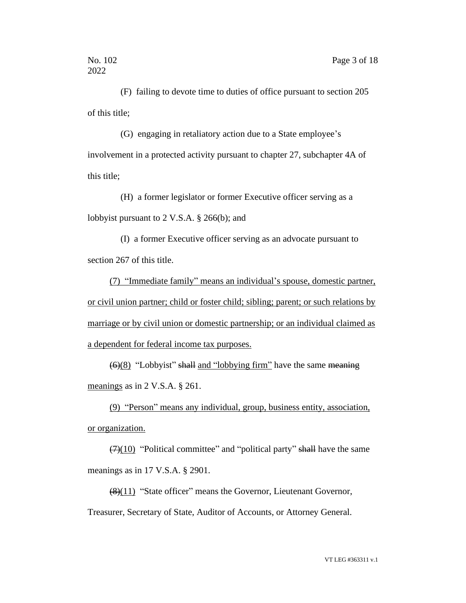(F) failing to devote time to duties of office pursuant to section 205 of this title;

(G) engaging in retaliatory action due to a State employee's involvement in a protected activity pursuant to chapter 27, subchapter 4A of this title;

(H) a former legislator or former Executive officer serving as a lobbyist pursuant to 2 V.S.A. § 266(b); and

(I) a former Executive officer serving as an advocate pursuant to section 267 of this title.

(7) "Immediate family" means an individual's spouse, domestic partner, or civil union partner; child or foster child; sibling; parent; or such relations by marriage or by civil union or domestic partnership; or an individual claimed as a dependent for federal income tax purposes.

 $\left(\frac{6}{8}\right)$  "Lobbyist" shall and "lobbying firm" have the same meaning meanings as in 2 V.S.A. § 261.

(9) "Person" means any individual, group, business entity, association, or organization.

 $(7)(10)$  "Political committee" and "political party" shall have the same meanings as in 17 V.S.A. § 2901.

(8)(11) "State officer" means the Governor, Lieutenant Governor, Treasurer, Secretary of State, Auditor of Accounts, or Attorney General.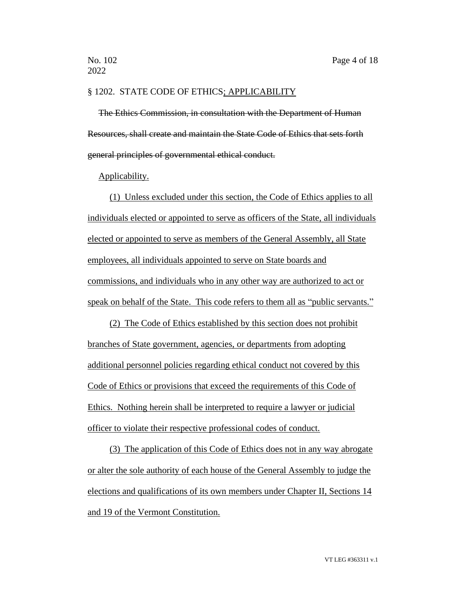#### § 1202. STATE CODE OF ETHICS; APPLICABILITY

The Ethics Commission, in consultation with the Department of Human Resources, shall create and maintain the State Code of Ethics that sets forth general principles of governmental ethical conduct.

Applicability.

(1) Unless excluded under this section, the Code of Ethics applies to all individuals elected or appointed to serve as officers of the State, all individuals elected or appointed to serve as members of the General Assembly, all State employees, all individuals appointed to serve on State boards and commissions, and individuals who in any other way are authorized to act or speak on behalf of the State. This code refers to them all as "public servants."

(2) The Code of Ethics established by this section does not prohibit branches of State government, agencies, or departments from adopting additional personnel policies regarding ethical conduct not covered by this Code of Ethics or provisions that exceed the requirements of this Code of Ethics. Nothing herein shall be interpreted to require a lawyer or judicial officer to violate their respective professional codes of conduct.

(3) The application of this Code of Ethics does not in any way abrogate or alter the sole authority of each house of the General Assembly to judge the elections and qualifications of its own members under Chapter II, Sections 14 and 19 of the Vermont Constitution.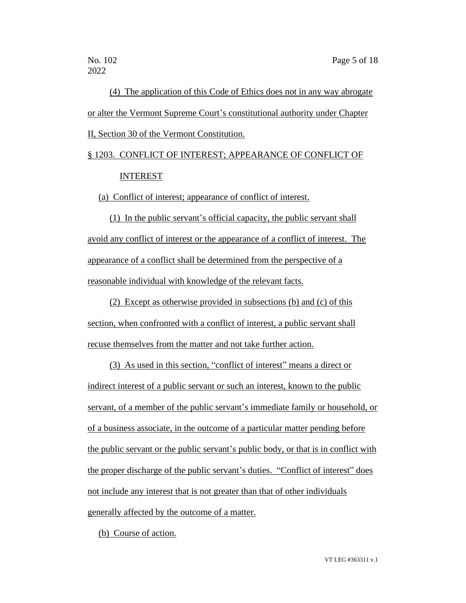(4) The application of this Code of Ethics does not in any way abrogate or alter the Vermont Supreme Court's constitutional authority under Chapter II, Section 30 of the Vermont Constitution.

# § 1203. CONFLICT OF INTEREST; APPEARANCE OF CONFLICT OF INTEREST

(a) Conflict of interest; appearance of conflict of interest.

(1) In the public servant's official capacity, the public servant shall avoid any conflict of interest or the appearance of a conflict of interest. The appearance of a conflict shall be determined from the perspective of a reasonable individual with knowledge of the relevant facts.

(2) Except as otherwise provided in subsections (b) and (c) of this section, when confronted with a conflict of interest, a public servant shall recuse themselves from the matter and not take further action.

(3) As used in this section, "conflict of interest" means a direct or indirect interest of a public servant or such an interest, known to the public servant, of a member of the public servant's immediate family or household, or of a business associate, in the outcome of a particular matter pending before the public servant or the public servant's public body, or that is in conflict with the proper discharge of the public servant's duties. "Conflict of interest" does not include any interest that is not greater than that of other individuals generally affected by the outcome of a matter.

(b) Course of action.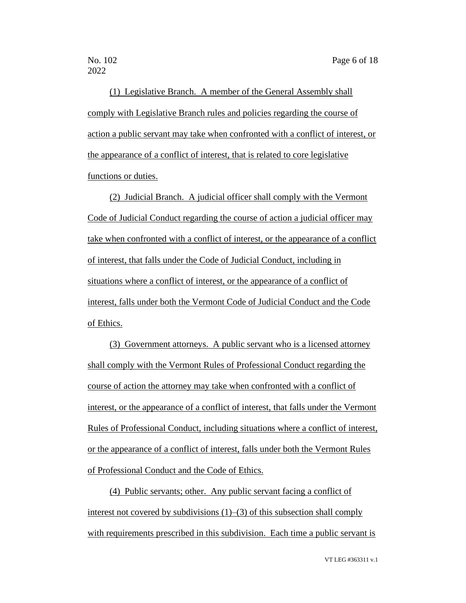(1) Legislative Branch. A member of the General Assembly shall comply with Legislative Branch rules and policies regarding the course of action a public servant may take when confronted with a conflict of interest, or the appearance of a conflict of interest, that is related to core legislative functions or duties.

(2) Judicial Branch. A judicial officer shall comply with the Vermont Code of Judicial Conduct regarding the course of action a judicial officer may take when confronted with a conflict of interest, or the appearance of a conflict of interest, that falls under the Code of Judicial Conduct, including in situations where a conflict of interest, or the appearance of a conflict of interest, falls under both the Vermont Code of Judicial Conduct and the Code of Ethics.

(3) Government attorneys. A public servant who is a licensed attorney shall comply with the Vermont Rules of Professional Conduct regarding the course of action the attorney may take when confronted with a conflict of interest, or the appearance of a conflict of interest, that falls under the Vermont Rules of Professional Conduct, including situations where a conflict of interest, or the appearance of a conflict of interest, falls under both the Vermont Rules of Professional Conduct and the Code of Ethics.

(4) Public servants; other. Any public servant facing a conflict of interest not covered by subdivisions (1)–(3) of this subsection shall comply with requirements prescribed in this subdivision. Each time a public servant is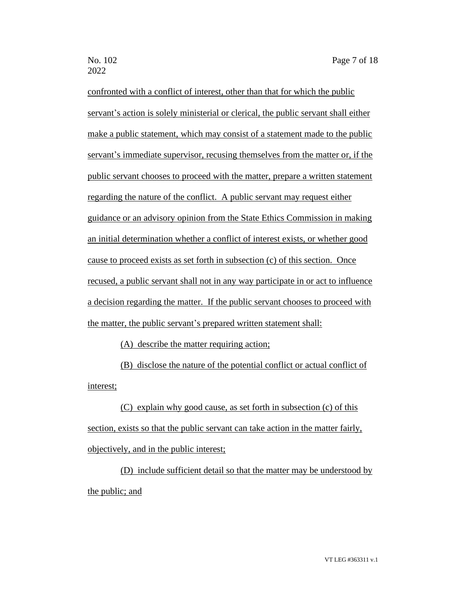confronted with a conflict of interest, other than that for which the public servant's action is solely ministerial or clerical, the public servant shall either make a public statement, which may consist of a statement made to the public servant's immediate supervisor, recusing themselves from the matter or, if the public servant chooses to proceed with the matter, prepare a written statement regarding the nature of the conflict. A public servant may request either guidance or an advisory opinion from the State Ethics Commission in making an initial determination whether a conflict of interest exists, or whether good cause to proceed exists as set forth in subsection (c) of this section. Once recused, a public servant shall not in any way participate in or act to influence a decision regarding the matter. If the public servant chooses to proceed with the matter, the public servant's prepared written statement shall:

(A) describe the matter requiring action;

(B) disclose the nature of the potential conflict or actual conflict of interest;

(C) explain why good cause, as set forth in subsection (c) of this section, exists so that the public servant can take action in the matter fairly, objectively, and in the public interest;

(D) include sufficient detail so that the matter may be understood by the public; and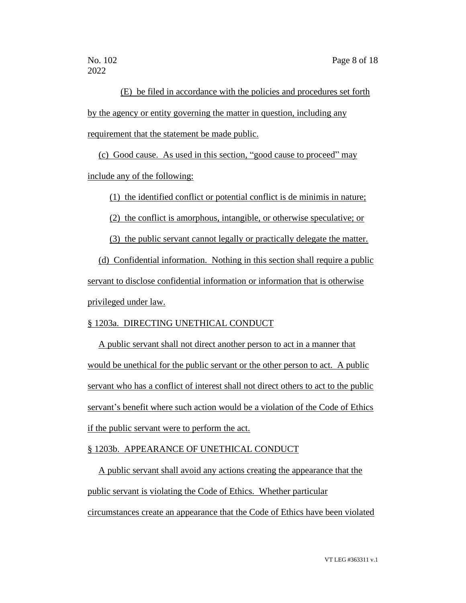(E) be filed in accordance with the policies and procedures set forth by the agency or entity governing the matter in question, including any requirement that the statement be made public.

(c) Good cause. As used in this section, "good cause to proceed" may include any of the following:

(1) the identified conflict or potential conflict is de minimis in nature;

(2) the conflict is amorphous, intangible, or otherwise speculative; or

(3) the public servant cannot legally or practically delegate the matter.

(d) Confidential information. Nothing in this section shall require a public servant to disclose confidential information or information that is otherwise privileged under law.

## § 1203a. DIRECTING UNETHICAL CONDUCT

A public servant shall not direct another person to act in a manner that would be unethical for the public servant or the other person to act. A public servant who has a conflict of interest shall not direct others to act to the public servant's benefit where such action would be a violation of the Code of Ethics if the public servant were to perform the act.

## § 1203b. APPEARANCE OF UNETHICAL CONDUCT

A public servant shall avoid any actions creating the appearance that the public servant is violating the Code of Ethics. Whether particular circumstances create an appearance that the Code of Ethics have been violated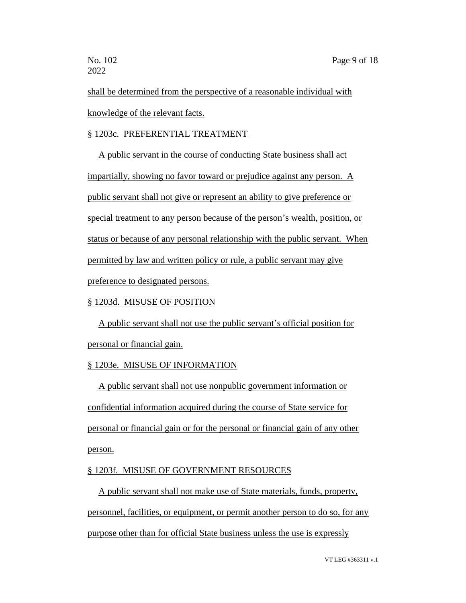shall be determined from the perspective of a reasonable individual with knowledge of the relevant facts.

## § 1203c. PREFERENTIAL TREATMENT

A public servant in the course of conducting State business shall act impartially, showing no favor toward or prejudice against any person. A public servant shall not give or represent an ability to give preference or special treatment to any person because of the person's wealth, position, or status or because of any personal relationship with the public servant. When permitted by law and written policy or rule, a public servant may give preference to designated persons.

## § 1203d. MISUSE OF POSITION

A public servant shall not use the public servant's official position for personal or financial gain.

## § 1203e. MISUSE OF INFORMATION

A public servant shall not use nonpublic government information or confidential information acquired during the course of State service for personal or financial gain or for the personal or financial gain of any other person.

## § 1203f. MISUSE OF GOVERNMENT RESOURCES

A public servant shall not make use of State materials, funds, property, personnel, facilities, or equipment, or permit another person to do so, for any purpose other than for official State business unless the use is expressly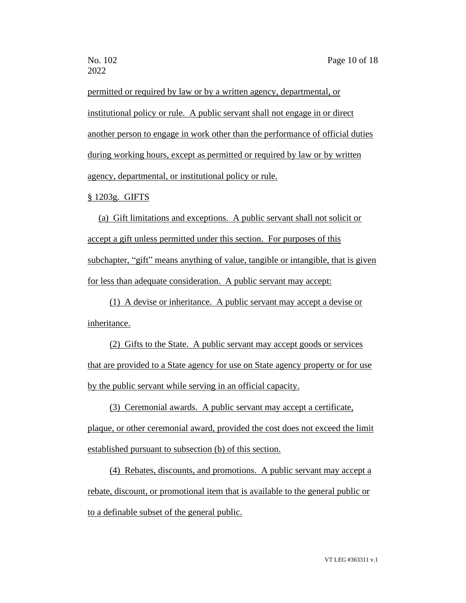permitted or required by law or by a written agency, departmental, or institutional policy or rule. A public servant shall not engage in or direct another person to engage in work other than the performance of official duties during working hours, except as permitted or required by law or by written agency, departmental, or institutional policy or rule.

§ 1203g. GIFTS

(a) Gift limitations and exceptions. A public servant shall not solicit or accept a gift unless permitted under this section. For purposes of this subchapter, "gift" means anything of value, tangible or intangible, that is given for less than adequate consideration. A public servant may accept:

(1) A devise or inheritance. A public servant may accept a devise or inheritance.

(2) Gifts to the State. A public servant may accept goods or services that are provided to a State agency for use on State agency property or for use by the public servant while serving in an official capacity.

(3) Ceremonial awards. A public servant may accept a certificate, plaque, or other ceremonial award, provided the cost does not exceed the limit established pursuant to subsection (b) of this section.

(4) Rebates, discounts, and promotions. A public servant may accept a rebate, discount, or promotional item that is available to the general public or to a definable subset of the general public.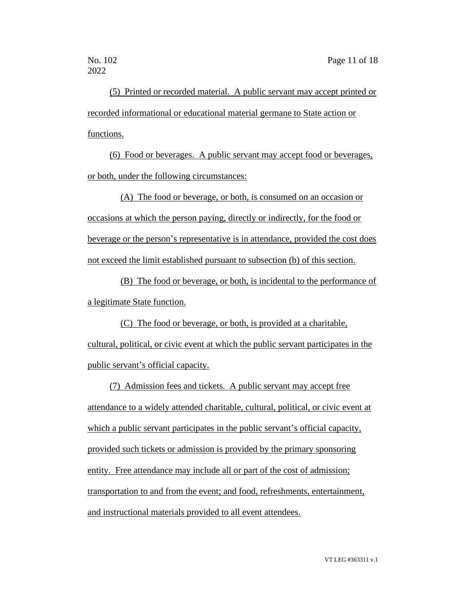(5) Printed or recorded material. A public servant may accept printed or recorded informational or educational material germane to State action or functions.

(6) Food or beverages. A public servant may accept food or beverages, or both, under the following circumstances:

(A) The food or beverage, or both, is consumed on an occasion or occasions at which the person paying, directly or indirectly, for the food or beverage or the person's representative is in attendance, provided the cost does not exceed the limit established pursuant to subsection (b) of this section.

(B) The food or beverage, or both, is incidental to the performance of a legitimate State function.

(C) The food or beverage, or both, is provided at a charitable, cultural, political, or civic event at which the public servant participates in the public servant's official capacity.

(7) Admission fees and tickets. A public servant may accept free attendance to a widely attended charitable, cultural, political, or civic event at which a public servant participates in the public servant's official capacity, provided such tickets or admission is provided by the primary sponsoring entity. Free attendance may include all or part of the cost of admission; transportation to and from the event; and food, refreshments, entertainment, and instructional materials provided to all event attendees.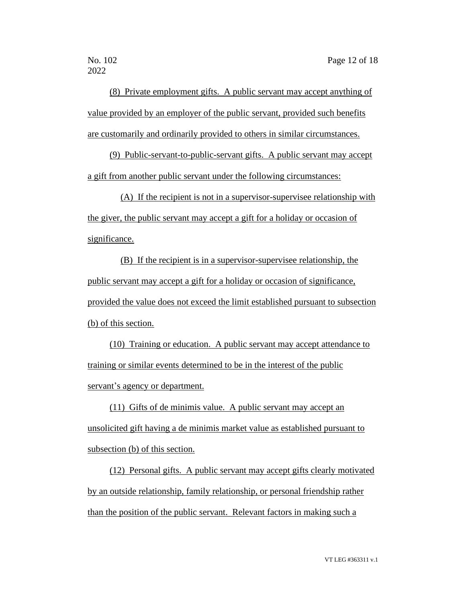(8) Private employment gifts. A public servant may accept anything of value provided by an employer of the public servant, provided such benefits are customarily and ordinarily provided to others in similar circumstances.

(9) Public-servant-to-public-servant gifts. A public servant may accept a gift from another public servant under the following circumstances:

(A) If the recipient is not in a supervisor-supervisee relationship with the giver, the public servant may accept a gift for a holiday or occasion of significance.

(B) If the recipient is in a supervisor-supervisee relationship, the public servant may accept a gift for a holiday or occasion of significance, provided the value does not exceed the limit established pursuant to subsection (b) of this section.

(10) Training or education. A public servant may accept attendance to training or similar events determined to be in the interest of the public servant's agency or department.

(11) Gifts of de minimis value. A public servant may accept an unsolicited gift having a de minimis market value as established pursuant to subsection (b) of this section.

(12) Personal gifts. A public servant may accept gifts clearly motivated by an outside relationship, family relationship, or personal friendship rather than the position of the public servant. Relevant factors in making such a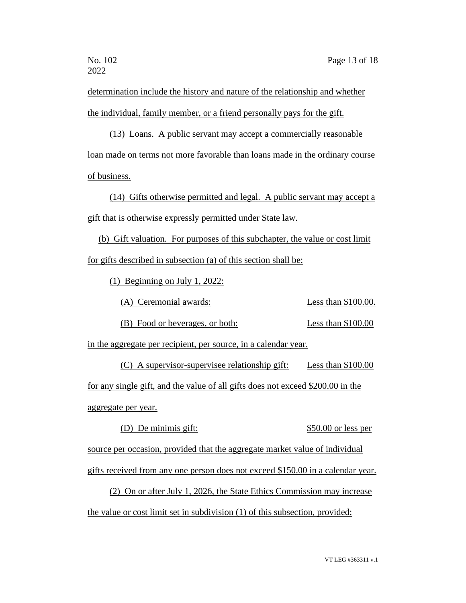determination include the history and nature of the relationship and whether the individual, family member, or a friend personally pays for the gift.

(13) Loans. A public servant may accept a commercially reasonable loan made on terms not more favorable than loans made in the ordinary course of business.

(14) Gifts otherwise permitted and legal. A public servant may accept a gift that is otherwise expressly permitted under State law.

(b) Gift valuation. For purposes of this subchapter, the value or cost limit for gifts described in subsection (a) of this section shall be:

(1) Beginning on July 1, 2022:

(A) Ceremonial awards: Less than \$100.00.

(B) Food or beverages, or both: Less than \$100.00

in the aggregate per recipient, per source, in a calendar year.

(C) A supervisor-supervisee relationship gift: Less than \$100.00 for any single gift, and the value of all gifts does not exceed \$200.00 in the aggregate per year.

(D) De minimis gift:  $$50.00$  or less per

source per occasion, provided that the aggregate market value of individual

gifts received from any one person does not exceed \$150.00 in a calendar year.

(2) On or after July 1, 2026, the State Ethics Commission may increase the value or cost limit set in subdivision (1) of this subsection, provided: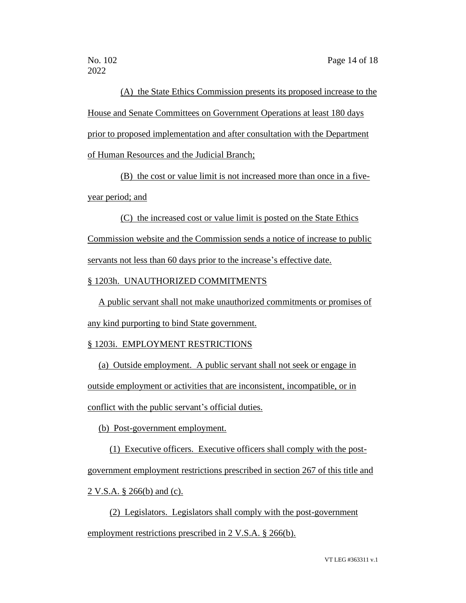(A) the State Ethics Commission presents its proposed increase to the House and Senate Committees on Government Operations at least 180 days prior to proposed implementation and after consultation with the Department of Human Resources and the Judicial Branch;

(B) the cost or value limit is not increased more than once in a fiveyear period; and

(C) the increased cost or value limit is posted on the State Ethics Commission website and the Commission sends a notice of increase to public servants not less than 60 days prior to the increase's effective date.

§ 1203h. UNAUTHORIZED COMMITMENTS

A public servant shall not make unauthorized commitments or promises of any kind purporting to bind State government.

## § 1203i. EMPLOYMENT RESTRICTIONS

(a) Outside employment. A public servant shall not seek or engage in outside employment or activities that are inconsistent, incompatible, or in conflict with the public servant's official duties.

(b) Post-government employment.

(1) Executive officers. Executive officers shall comply with the postgovernment employment restrictions prescribed in section 267 of this title and 2 V.S.A. § 266(b) and (c).

(2) Legislators. Legislators shall comply with the post-government employment restrictions prescribed in 2 V.S.A. § 266(b).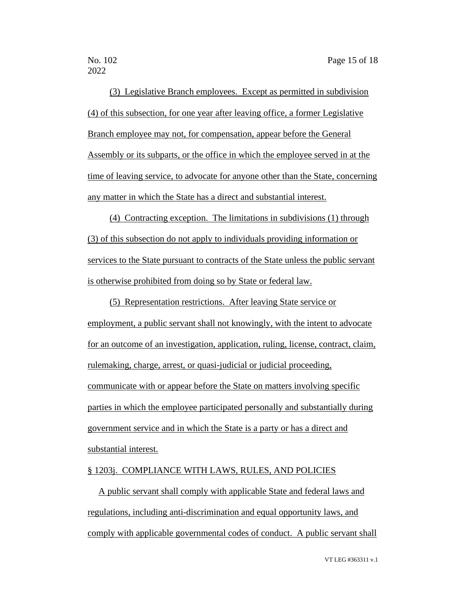(3) Legislative Branch employees. Except as permitted in subdivision (4) of this subsection, for one year after leaving office, a former Legislative Branch employee may not, for compensation, appear before the General Assembly or its subparts, or the office in which the employee served in at the time of leaving service, to advocate for anyone other than the State, concerning any matter in which the State has a direct and substantial interest.

(4) Contracting exception. The limitations in subdivisions (1) through (3) of this subsection do not apply to individuals providing information or services to the State pursuant to contracts of the State unless the public servant is otherwise prohibited from doing so by State or federal law.

(5) Representation restrictions. After leaving State service or employment, a public servant shall not knowingly, with the intent to advocate for an outcome of an investigation, application, ruling, license, contract, claim, rulemaking, charge, arrest, or quasi-judicial or judicial proceeding, communicate with or appear before the State on matters involving specific parties in which the employee participated personally and substantially during government service and in which the State is a party or has a direct and substantial interest.

### § 1203j. COMPLIANCE WITH LAWS, RULES, AND POLICIES

A public servant shall comply with applicable State and federal laws and regulations, including anti-discrimination and equal opportunity laws, and comply with applicable governmental codes of conduct. A public servant shall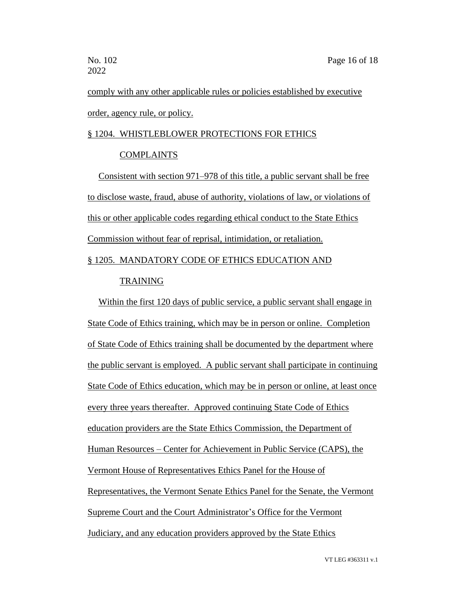comply with any other applicable rules or policies established by executive order, agency rule, or policy.

### § 1204. WHISTLEBLOWER PROTECTIONS FOR ETHICS

### COMPLAINTS

Consistent with section 971–978 of this title, a public servant shall be free to disclose waste, fraud, abuse of authority, violations of law, or violations of this or other applicable codes regarding ethical conduct to the State Ethics Commission without fear of reprisal, intimidation, or retaliation.

## § 1205. MANDATORY CODE OF ETHICS EDUCATION AND

## TRAINING

Within the first 120 days of public service, a public servant shall engage in State Code of Ethics training, which may be in person or online. Completion of State Code of Ethics training shall be documented by the department where the public servant is employed. A public servant shall participate in continuing State Code of Ethics education, which may be in person or online, at least once every three years thereafter. Approved continuing State Code of Ethics education providers are the State Ethics Commission, the Department of Human Resources – Center for Achievement in Public Service (CAPS), the Vermont House of Representatives Ethics Panel for the House of Representatives, the Vermont Senate Ethics Panel for the Senate, the Vermont Supreme Court and the Court Administrator's Office for the Vermont Judiciary, and any education providers approved by the State Ethics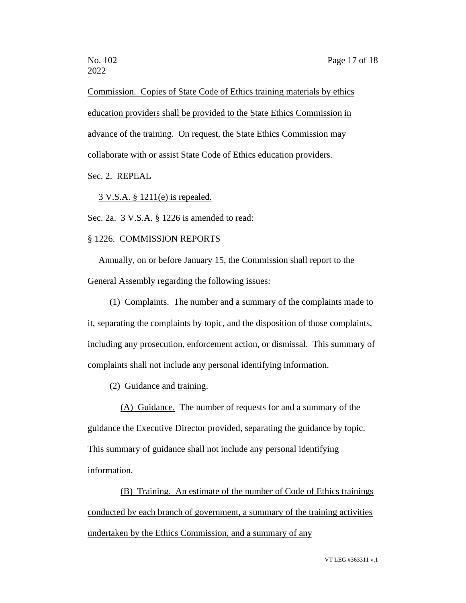Commission. Copies of State Code of Ethics training materials by ethics education providers shall be provided to the State Ethics Commission in advance of the training. On request, the State Ethics Commission may collaborate with or assist State Code of Ethics education providers.

## Sec. 2. REPEAL

3 V.S.A. § 1211(e) is repealed.

Sec. 2a. 3 V.S.A. § 1226 is amended to read:

#### § 1226. COMMISSION REPORTS

Annually, on or before January 15, the Commission shall report to the General Assembly regarding the following issues:

(1) Complaints. The number and a summary of the complaints made to it, separating the complaints by topic, and the disposition of those complaints, including any prosecution, enforcement action, or dismissal. This summary of complaints shall not include any personal identifying information.

(2) Guidance and training.

(A) Guidance. The number of requests for and a summary of the guidance the Executive Director provided, separating the guidance by topic. This summary of guidance shall not include any personal identifying information.

(B) Training. An estimate of the number of Code of Ethics trainings conducted by each branch of government, a summary of the training activities undertaken by the Ethics Commission, and a summary of any